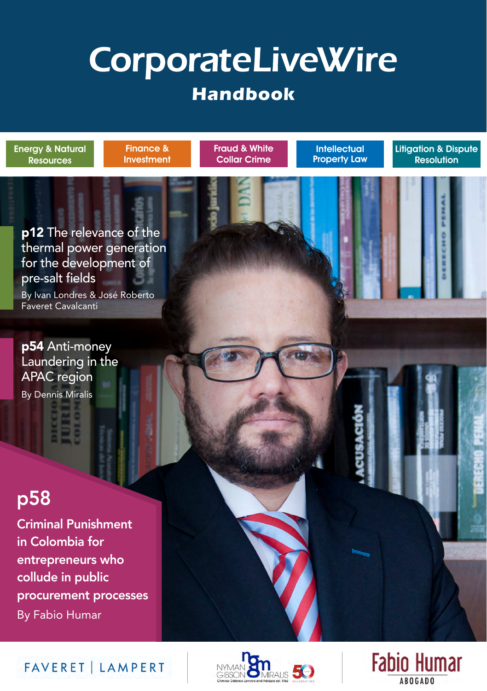# **CorporateLiveWire Handbook**

Fraud & White Collar Crime

**Intellectual** Property Law Litigation & Dispute Resolution

p12 The relevance of the thermal power generation for the development of pre-salt fields

Finance & **Investment** 

By Ivan Londres & José Roberto Faveret Cavalcanti

p54 Anti-money [Laundering in the](#page-1-0)  APAC region

[By Dennis Miralis](#page-1-0)

Energy & Natural Resources

# p58

Criminal Punishment in Colombia for entrepreneurs who collude in public procurement processes By Fabio Humar





FAVERET | LAMPERT